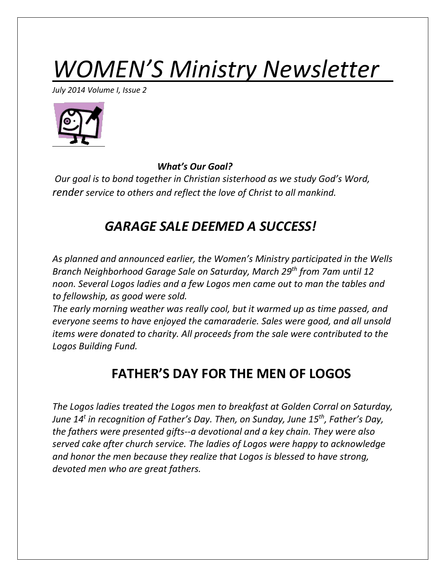# *WOMEN'S Ministry Newsletter*

*July 2014 Volume I, Issue 2*



*What's Our Goal?*

*Our goal is to bond together in Christian sisterhood as we study God's Word, render service to others and reflect the love of Christ to all mankind.*

## *GARAGE SALE DEEMED A SUCCESS!*

*As planned and announced earlier, the Women's Ministry participated in the Wells Branch Neighborhood Garage Sale on Saturday, March 29th from 7am until 12 noon. Several Logos ladies and a few Logos men came out to man the tables and to fellowship, as good were sold.*

*The early morning weather was really cool, but it warmed up as time passed, and everyone seems to have enjoyed the camaraderie. Sales were good, and all unsold items were donated to charity. All proceeds from the sale were contributed to the Logos Building Fund.* 

# **FATHER'S DAY FOR THE MEN OF LOGOS**

*The Logos ladies treated the Logos men to breakfast at Golden Corral on Saturday, June 14<sup>t</sup> in recognition of Father's Day. Then, on Sunday, June 15th, Father's Day, the fathers were presented gifts--a devotional and a key chain. They were also served cake after church service. The ladies of Logos were happy to acknowledge and honor the men because they realize that Logos is blessed to have strong, devoted men who are great fathers.*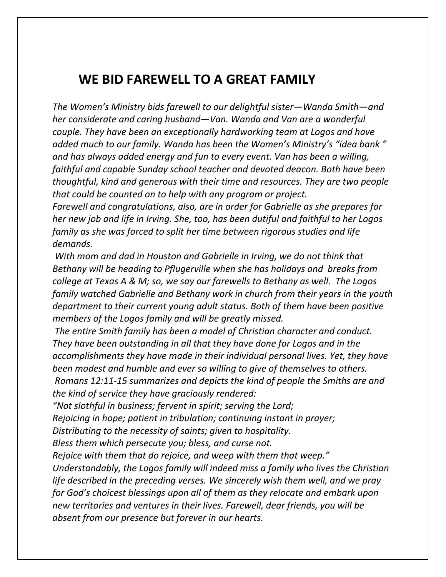### **WE BID FAREWELL TO A GREAT FAMILY**

*The Women's Ministry bids farewell to our delightful sister—Wanda Smith—and her considerate and caring husband—Van. Wanda and Van are a wonderful couple. They have been an exceptionally hardworking team at Logos and have added much to our family. Wanda has been the Women's Ministry's "idea bank " and has always added energy and fun to every event. Van has been a willing, faithful and capable Sunday school teacher and devoted deacon. Both have been thoughtful, kind and generous with their time and resources. They are two people that could be counted on to help with any program or project.*

*Farewell and congratulations, also, are in order for Gabrielle as she prepares for her new job and life in Irving. She, too, has been dutiful and faithful to her Logos family as she was forced to split her time between rigorous studies and life demands.*

*With mom and dad in Houston and Gabrielle in Irving, we do not think that Bethany will be heading to Pflugerville when she has holidays and breaks from college at Texas A & M; so, we say our farewells to Bethany as well. The Logos family watched Gabrielle and Bethany work in church from their years in the youth department to their current young adult status. Both of them have been positive members of the Logos family and will be greatly missed.*

*The entire Smith family has been a model of Christian character and conduct. They have been outstanding in all that they have done for Logos and in the accomplishments they have made in their individual personal lives. Yet, they have been modest and humble and ever so willing to give of themselves to others. Romans 12:11-15 summarizes and depicts the kind of people the Smiths are and the kind of service they have graciously rendered:*

*"Not slothful in business; fervent in spirit; serving the Lord;* 

*Rejoicing in hope; patient in tribulation; continuing instant in prayer;*

*Distributing to the necessity of saints; given to hospitality.*

*Bless them which persecute you; bless, and curse not.*

*Rejoice with them that do rejoice, and weep with them that weep."*

*Understandably, the Logos family will indeed miss a family who lives the Christian life described in the preceding verses. We sincerely wish them well, and we pray for God's choicest blessings upon all of them as they relocate and embark upon new territories and ventures in their lives. Farewell, dear friends, you will be absent from our presence but forever in our hearts.*